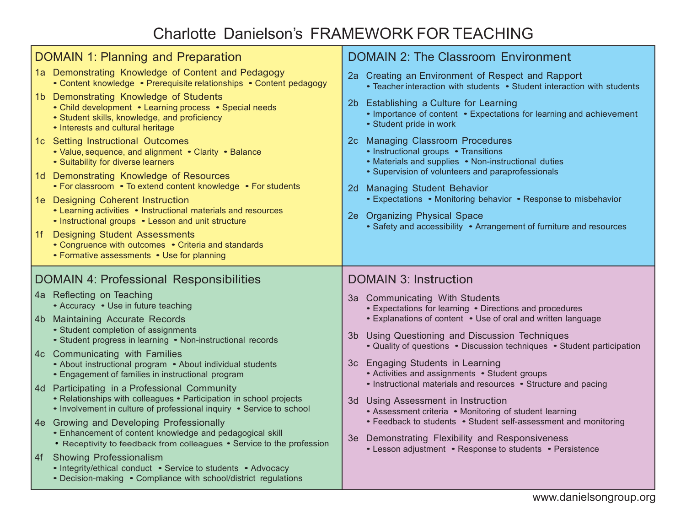# Charlotte Danielson's FRAMEWORK FOR TEACHING

| <b>DOMAIN 1: Planning and Preparation</b><br>1a Demonstrating Knowledge of Content and Pedagogy<br>• Content knowledge • Prerequisite relationships • Content pedagogy<br>1b Demonstrating Knowledge of Students<br>• Child development • Learning process • Special needs<br>• Student skills, knowledge, and proficiency<br>• Interests and cultural heritage<br>1c Setting Instructional Outcomes | <b>DOMAIN 2: The Classroom Environment</b><br>2a Creating an Environment of Respect and Rapport<br>• Teacher interaction with students • Student interaction with students<br>Establishing a Culture for Learning<br>2b.<br>• Importance of content • Expectations for learning and achievement<br>· Student pride in work<br>2c Managing Classroom Procedures |
|------------------------------------------------------------------------------------------------------------------------------------------------------------------------------------------------------------------------------------------------------------------------------------------------------------------------------------------------------------------------------------------------------|----------------------------------------------------------------------------------------------------------------------------------------------------------------------------------------------------------------------------------------------------------------------------------------------------------------------------------------------------------------|
| • Value, sequence, and alignment • Clarity • Balance<br>• Suitability for diverse learners<br>1d Demonstrating Knowledge of Resources<br>• For classroom • To extend content knowledge • For students<br>1e Designing Coherent Instruction<br>• Learning activities • Instructional materials and resources<br>• Instructional groups • Lesson and unit structure                                    | • Instructional groups • Transitions<br>• Materials and supplies • Non-instructional duties<br>• Supervision of volunteers and paraprofessionals<br>2d Managing Student Behavior<br>• Expectations • Monitoring behavior • Response to misbehavior<br>2e Organizing Physical Space                                                                             |
| <b>Designing Student Assessments</b><br>1f<br>• Congruence with outcomes • Criteria and standards<br>• Formative assessments • Use for planning                                                                                                                                                                                                                                                      | • Safety and accessibility • Arrangement of furniture and resources                                                                                                                                                                                                                                                                                            |
|                                                                                                                                                                                                                                                                                                                                                                                                      |                                                                                                                                                                                                                                                                                                                                                                |
| <b>DOMAIN 4: Professional Responsibilities</b><br>4a Reflecting on Teaching<br>• Accuracy • Use in future teaching                                                                                                                                                                                                                                                                                   | <b>DOMAIN 3: Instruction</b><br>3a Communicating With Students                                                                                                                                                                                                                                                                                                 |
| 4b Maintaining Accurate Records<br>• Student completion of assignments<br>• Student progress in learning • Non-instructional records                                                                                                                                                                                                                                                                 | • Expectations for learning • Directions and procedures<br>• Explanations of content • Use of oral and written language<br>Using Questioning and Discussion Techniques<br>3b                                                                                                                                                                                   |
| 4c Communicating with Families<br>• About instructional program • About individual students<br>• Engagement of families in instructional program                                                                                                                                                                                                                                                     | • Quality of questions • Discussion techniques • Student participation<br>3c Engaging Students in Learning<br>• Activities and assignments • Student groups                                                                                                                                                                                                    |
| 4d Participating in a Professional Community<br>• Relationships with colleagues • Participation in school projects<br>• Involvement in culture of professional inquiry • Service to school                                                                                                                                                                                                           | • Instructional materials and resources • Structure and pacing<br>3d Using Assessment in Instruction<br>• Assessment criteria • Monitoring of student learning                                                                                                                                                                                                 |
| 4e Growing and Developing Professionally<br>• Enhancement of content knowledge and pedagogical skill<br>• Receptivity to feedback from colleagues • Service to the profession                                                                                                                                                                                                                        | • Feedback to students • Student self-assessment and monitoring<br>3e Demonstrating Flexibility and Responsiveness<br>• Lesson adjustment • Response to students • Persistence                                                                                                                                                                                 |